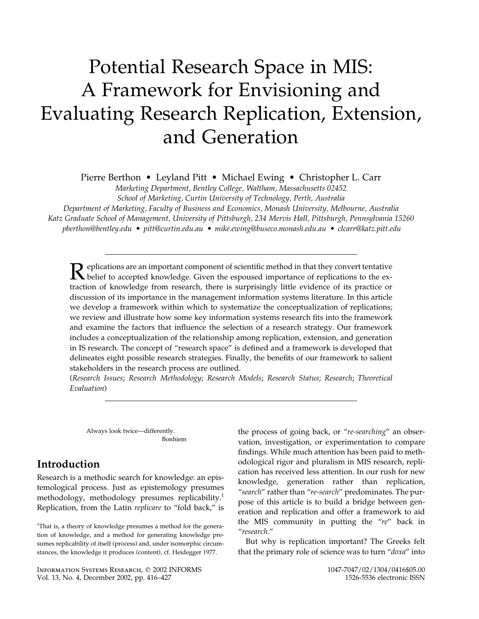# Potential Research Space in MIS: A Framework for Envisioning and Evaluating Research Replication, Extension, and Generation

Pierre Berthon • Leyland Pitt • Michael Ewing • Christopher L. Carr

*Marketing Department, Bentley College, Waltham, Massachusetts 02452*

*School of Marketing, Curtin University of Technology, Perth, Australia*

*Department of Marketing, Faculty of Business and Economics, Monash University, Melbourne, Australia Katz Graduate School of Management, University of Pittsburgh, 234 Mervis Hall, Pittsburgh, Pennsylvania 15260 pberthon@bentley.edu • pitt@curtin.edu.au • mike.ewing@buseco.monash.edu.au • clcarr@katz.pitt.edu*

Replications are an important component of scientific method in that they convert tentative<br>belief to accepted knowledge. Given the espoused importance of replications to the extraction of knowledge from research, there is surprisingly little evidence of its practice or discussion of its importance in the management information systems literature. In this article we develop a framework within which to systematize the conceptualization of replications; we review and illustrate how some key information systems research fits into the framework and examine the factors that influence the selection of a research strategy. Our framework includes a conceptualization of the relationship among replication, extension, and generation in IS research. The concept of "research space" is defined and a framework is developed that delineates eight possible research strategies. Finally, the benefits of our framework to salient stakeholders in the research process are outlined.

(*Research Issues*; *Research Methodology*; *Research Models*; *Research Status*; *Research*; *Theoretical Evaluation*)

Always look twice—differently. Bonhiem

### **Introduction**

Research is a methodic search for knowledge: an epistemological process. Just as epistemology presumes methodology, methodology presumes replicability.<sup>1</sup> Replication, from the Latin *replicare* to "fold back," is

INFORMATION SYSTEMS RESEARCH, © 2002 INFORMS Vol. 13, No. 4, December 2002, pp. 416–427

the process of going back, or "*re-searching*" an observation, investigation, or experimentation to compare findings. While much attention has been paid to methodological rigor and pluralism in MIS research, replication has received less attention. In our rush for new knowledge, generation rather than replication, "*search*" rather than "*re-search*" predominates. The purpose of this article is to build a bridge between generation and replication and offer a framework to aid the MIS community in putting the "*re*" back in "*research*."

But why is replication important? The Greeks felt that the primary role of science was to turn "*doxa*" into

<sup>&</sup>lt;sup>1</sup>That is, a theory of knowledge presumes a method for the generation of knowledge, and a method for generating knowledge presumes replicability of itself (process) and, under isomorphic circumstances, the knowledge it produces (content), cf. Heidegger 1977.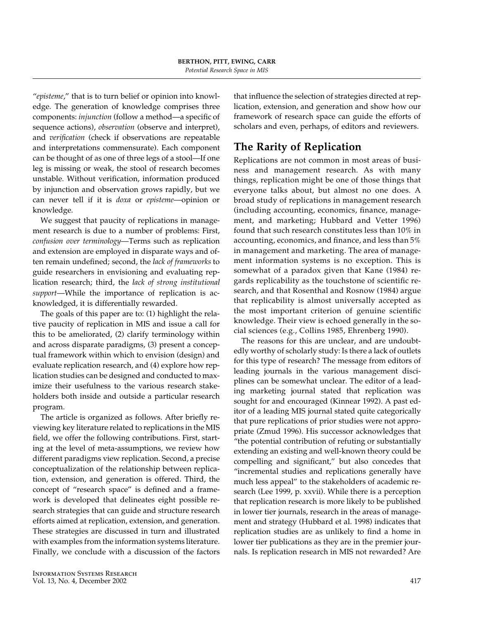"*episteme*," that is to turn belief or opinion into knowledge. The generation of knowledge comprises three components: *injunction* (follow a method—a specific of sequence actions), *observation* (observe and interpret), and *verification* (check if observations are repeatable and interpretations commensurate). Each component can be thought of as one of three legs of a stool—If one leg is missing or weak, the stool of research becomes unstable. Without verification, information produced by injunction and observation grows rapidly, but we can never tell if it is *doxa* or *episteme*—opinion or knowledge.

We suggest that paucity of replications in management research is due to a number of problems: First, *confusion over terminology*—Terms such as replication and extension are employed in disparate ways and often remain undefined; second, the *lack of frameworks* to guide researchers in envisioning and evaluating replication research; third, the *lack of strong institutional support*—While the importance of replication is acknowledged, it is differentially rewarded.

The goals of this paper are to: (1) highlight the relative paucity of replication in MIS and issue a call for this to be ameliorated, (2) clarify terminology within and across disparate paradigms, (3) present a conceptual framework within which to envision (design) and evaluate replication research, and (4) explore how replication studies can be designed and conducted to maximize their usefulness to the various research stakeholders both inside and outside a particular research program.

The article is organized as follows. After briefly reviewing key literature related to replications in the MIS field, we offer the following contributions. First, starting at the level of meta-assumptions, we review how different paradigms view replication. Second, a precise conceptualization of the relationship between replication, extension, and generation is offered. Third, the concept of "research space" is defined and a framework is developed that delineates eight possible research strategies that can guide and structure research efforts aimed at replication, extension, and generation. These strategies are discussed in turn and illustrated with examples from the information systems literature. Finally, we conclude with a discussion of the factors

that influence the selection of strategies directed at replication, extension, and generation and show how our framework of research space can guide the efforts of scholars and even, perhaps, of editors and reviewers.

# **The Rarity of Replication**

Replications are not common in most areas of business and management research. As with many things, replication might be one of those things that everyone talks about, but almost no one does. A broad study of replications in management research (including accounting, economics, finance, management, and marketing; Hubbard and Vetter 1996) found that such research constitutes less than 10% in accounting, economics, and finance, and less than 5% in management and marketing. The area of management information systems is no exception. This is somewhat of a paradox given that Kane (1984) regards replicability as the touchstone of scientific research, and that Rosenthal and Rosnow (1984) argue that replicability is almost universally accepted as the most important criterion of genuine scientific knowledge. Their view is echoed generally in the social sciences (e.g., Collins 1985, Ehrenberg 1990).

The reasons for this are unclear, and are undoubtedly worthy of scholarly study: Is there a lack of outlets for this type of research? The message from editors of leading journals in the various management disciplines can be somewhat unclear. The editor of a leading marketing journal stated that replication was sought for and encouraged (Kinnear 1992). A past editor of a leading MIS journal stated quite categorically that pure replications of prior studies were not appropriate (Zmud 1996). His successor acknowledges that "the potential contribution of refuting or substantially extending an existing and well-known theory could be compelling and significant," but also concedes that "incremental studies and replications generally have much less appeal" to the stakeholders of academic research (Lee 1999, p. xxvii). While there is a perception that replication research is more likely to be published in lower tier journals, research in the areas of management and strategy (Hubbard et al. 1998) indicates that replication studies are as unlikely to find a home in lower tier publications as they are in the premier journals. Is replication research in MIS not rewarded? Are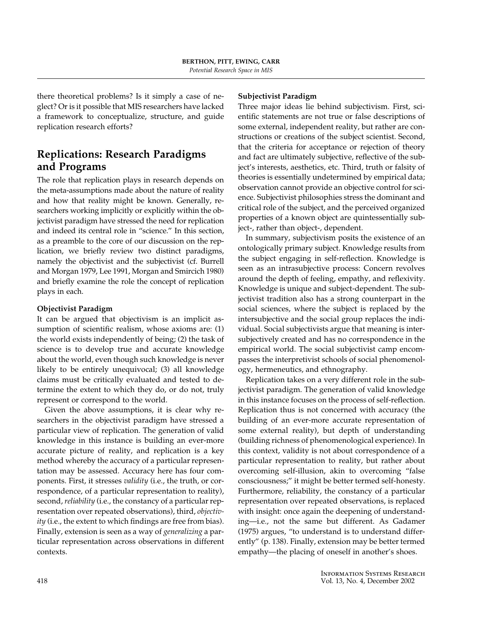there theoretical problems? Is it simply a case of neglect? Or is it possible that MIS researchers have lacked a framework to conceptualize, structure, and guide replication research efforts?

# **Replications: Research Paradigms and Programs**

The role that replication plays in research depends on the meta-assumptions made about the nature of reality and how that reality might be known. Generally, researchers working implicitly or explicitly within the objectivist paradigm have stressed the need for replication and indeed its central role in "science." In this section, as a preamble to the core of our discussion on the replication, we briefly review two distinct paradigms, namely the objectivist and the subjectivist (cf. Burrell and Morgan 1979, Lee 1991, Morgan and Smircich 1980) and briefly examine the role the concept of replication plays in each.

### **Objectivist Paradigm**

It can be argued that objectivism is an implicit assumption of scientific realism, whose axioms are: (1) the world exists independently of being; (2) the task of science is to develop true and accurate knowledge about the world, even though such knowledge is never likely to be entirely unequivocal; (3) all knowledge claims must be critically evaluated and tested to determine the extent to which they do, or do not, truly represent or correspond to the world.

Given the above assumptions, it is clear why researchers in the objectivist paradigm have stressed a particular view of replication. The generation of valid knowledge in this instance is building an ever-more accurate picture of reality, and replication is a key method whereby the accuracy of a particular representation may be assessed. Accuracy here has four components. First, it stresses *validity* (i.e., the truth, or correspondence, of a particular representation to reality), second, *reliability* (i.e., the constancy of a particular representation over repeated observations), third, *objectivity* (i.e., the extent to which findings are free from bias). Finally, extension is seen as a way of *generalizing* a particular representation across observations in different contexts.

### **Subjectivist Paradigm**

Three major ideas lie behind subjectivism. First, scientific statements are not true or false descriptions of some external, independent reality, but rather are constructions or creations of the subject scientist. Second, that the criteria for acceptance or rejection of theory and fact are ultimately subjective, reflective of the subject's interests, aesthetics, etc. Third, truth or falsity of theories is essentially undetermined by empirical data; observation cannot provide an objective control for science. Subjectivist philosophies stress the dominant and critical role of the subject, and the perceived organized properties of a known object are quintessentially subject-, rather than object-, dependent.

In summary, subjectivism posits the existence of an ontologically primary subject. Knowledge results from the subject engaging in self-reflection. Knowledge is seen as an intrasubjective process: Concern revolves around the depth of feeling, empathy, and reflexivity. Knowledge is unique and subject-dependent. The subjectivist tradition also has a strong counterpart in the social sciences, where the subject is replaced by the intersubjective and the social group replaces the individual. Social subjectivists argue that meaning is intersubjectively created and has no correspondence in the empirical world. The social subjectivist camp encompasses the interpretivist schools of social phenomenology, hermeneutics, and ethnography.

Replication takes on a very different role in the subjectivist paradigm. The generation of valid knowledge in this instance focuses on the process of self-reflection. Replication thus is not concerned with accuracy (the building of an ever-more accurate representation of some external reality), but depth of understanding (building richness of phenomenological experience). In this context, validity is not about correspondence of a particular representation to reality, but rather about overcoming self-illusion, akin to overcoming "false consciousness;" it might be better termed self-honesty. Furthermore, reliability, the constancy of a particular representation over repeated observations, is replaced with insight: once again the deepening of understanding—i.e., not the same but different. As Gadamer (1975) argues, "to understand is to understand differently" (p. 138). Finally, extension may be better termed empathy—the placing of oneself in another's shoes.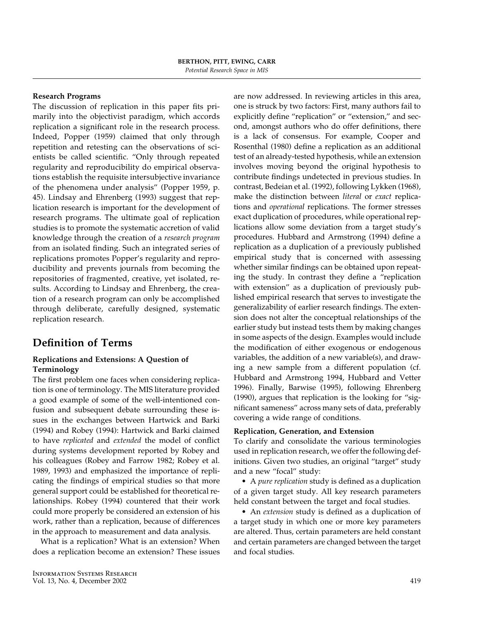### **Research Programs**

The discussion of replication in this paper fits primarily into the objectivist paradigm, which accords replication a significant role in the research process. Indeed, Popper (1959) claimed that only through repetition and retesting can the observations of scientists be called scientific. "Only through repeated regularity and reproducibility do empirical observations establish the requisite intersubjective invariance of the phenomena under analysis" (Popper 1959, p. 45). Lindsay and Ehrenberg (1993) suggest that replication research is important for the development of research programs. The ultimate goal of replication studies is to promote the systematic accretion of valid knowledge through the creation of a *research program* from an isolated finding. Such an integrated series of replications promotes Popper's regularity and reproducibility and prevents journals from becoming the repositories of fragmented, creative, yet isolated, results. According to Lindsay and Ehrenberg, the creation of a research program can only be accomplished through deliberate, carefully designed, systematic replication research.

# **Definition of Terms**

### **Replications and Extensions: A Question of Terminology**

The first problem one faces when considering replication is one of terminology. The MIS literature provided a good example of some of the well-intentioned confusion and subsequent debate surrounding these issues in the exchanges between Hartwick and Barki (1994) and Robey (1994): Hartwick and Barki claimed to have *replicated* and *extended* the model of conflict during systems development reported by Robey and his colleagues (Robey and Farrow 1982; Robey et al. 1989, 1993) and emphasized the importance of replicating the findings of empirical studies so that more general support could be established for theoretical relationships. Robey (1994) countered that their work could more properly be considered an extension of his work, rather than a replication, because of differences in the approach to measurement and data analysis.

What is a replication? What is an extension? When does a replication become an extension? These issues

are now addressed. In reviewing articles in this area, one is struck by two factors: First, many authors fail to explicitly define "replication" or "extension," and second, amongst authors who do offer definitions, there is a lack of consensus. For example, Cooper and Rosenthal (1980) define a replication as an additional test of an already-tested hypothesis, while an extension involves moving beyond the original hypothesis to contribute findings undetected in previous studies. In contrast, Bedeian et al. (1992), following Lykken (1968), make the distinction between *literal* or *exact* replications and *operational* replications. The former stresses exact duplication of procedures, while operational replications allow some deviation from a target study's procedures. Hubbard and Armstrong (1994) define a replication as a duplication of a previously published empirical study that is concerned with assessing whether similar findings can be obtained upon repeating the study. In contrast they define a "replication with extension" as a duplication of previously published empirical research that serves to investigate the generalizability of earlier research findings. The extension does not alter the conceptual relationships of the earlier study but instead tests them by making changes in some aspects of the design. Examples would include the modification of either exogenous or endogenous variables, the addition of a new variable(s), and drawing a new sample from a different population (cf. Hubbard and Armstrong 1994, Hubbard and Vetter 1996). Finally, Barwise (1995), following Ehrenberg (1990), argues that replication is the looking for "significant sameness" across many sets of data, preferably covering a wide range of conditions.

### **Replication, Generation, and Extension**

To clarify and consolidate the various terminologies used in replication research, we offer the following definitions. Given two studies, an original "target" study and a new "focal" study:

• A *pure replication* study is defined as a duplication of a given target study. All key research parameters held constant between the target and focal studies.

• An *extension* study is defined as a duplication of a target study in which one or more key parameters are altered. Thus, certain parameters are held constant and certain parameters are changed between the target and focal studies.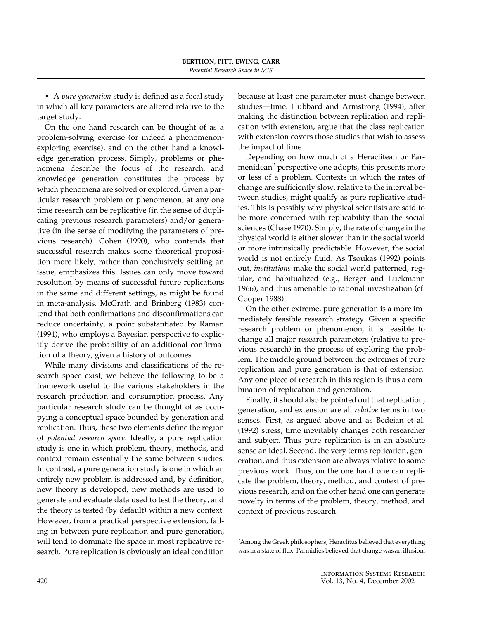• A *pure generation* study is defined as a focal study in which all key parameters are altered relative to the target study.

On the one hand research can be thought of as a problem-solving exercise (or indeed a phenomenonexploring exercise), and on the other hand a knowledge generation process. Simply, problems or phenomena describe the focus of the research, and knowledge generation constitutes the process by which phenomena are solved or explored. Given a particular research problem or phenomenon, at any one time research can be replicative (in the sense of duplicating previous research parameters) and/or generative (in the sense of modifying the parameters of previous research). Cohen (1990), who contends that successful research makes some theoretical proposition more likely, rather than conclusively settling an issue, emphasizes this. Issues can only move toward resolution by means of successful future replications in the same and different settings, as might be found in meta-analysis. McGrath and Brinberg (1983) contend that both confirmations and disconfirmations can reduce uncertainty, a point substantiated by Raman (1994), who employs a Bayesian perspective to explicitly derive the probability of an additional confirmation of a theory, given a history of outcomes.

While many divisions and classifications of the research space exist, we believe the following to be a framework useful to the various stakeholders in the research production and consumption process. Any particular research study can be thought of as occupying a conceptual space bounded by generation and replication. Thus, these two elements define the region of *potential research space*. Ideally, a pure replication study is one in which problem, theory, methods, and context remain essentially the same between studies. In contrast, a pure generation study is one in which an entirely new problem is addressed and, by definition, new theory is developed, new methods are used to generate and evaluate data used to test the theory, and the theory is tested (by default) within a new context. However, from a practical perspective extension, falling in between pure replication and pure generation, will tend to dominate the space in most replicative research. Pure replication is obviously an ideal condition because at least one parameter must change between studies—time. Hubbard and Armstrong (1994), after making the distinction between replication and replication with extension, argue that the class replication with extension covers those studies that wish to assess the impact of time.

Depending on how much of a Heraclitean or Parmenidean<sup>2</sup> perspective one adopts, this presents more or less of a problem. Contexts in which the rates of change are sufficiently slow, relative to the interval between studies, might qualify as pure replicative studies. This is possibly why physical scientists are said to be more concerned with replicability than the social sciences (Chase 1970). Simply, the rate of change in the physical world is either slower than in the social world or more intrinsically predictable. However, the social world is not entirely fluid. As Tsoukas (1992) points out, *institutions* make the social world patterned, regular, and habitualized (e.g., Berger and Luckmann 1966), and thus amenable to rational investigation (cf. Cooper 1988).

On the other extreme, pure generation is a more immediately feasible research strategy. Given a specific research problem or phenomenon, it is feasible to change all major research parameters (relative to previous research) in the process of exploring the problem. The middle ground between the extremes of pure replication and pure generation is that of extension. Any one piece of research in this region is thus a combination of replication and generation.

Finally, it should also be pointed out that replication, generation, and extension are all *relative* terms in two senses. First, as argued above and as Bedeian et al. (1992) stress, time inevitably changes both researcher and subject. Thus pure replication is in an absolute sense an ideal. Second, the very terms replication, generation, and thus extension are always relative to some previous work. Thus, on the one hand one can replicate the problem, theory, method, and context of previous research, and on the other hand one can generate novelty in terms of the problem, theory, method, and context of previous research.

<sup>2</sup>Among the Greek philosophers, Heraclitus believed that everything was in a state of flux. Parmidies believed that change was an illusion.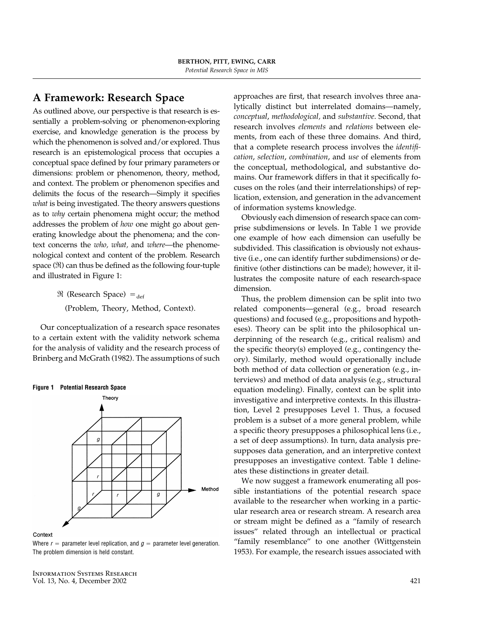### **A Framework: Research Space**

As outlined above, our perspective is that research is essentially a problem-solving or phenomenon-exploring exercise, and knowledge generation is the process by which the phenomenon is solved and/or explored. Thus research is an epistemological process that occupies a conceptual space defined by four primary parameters or dimensions: problem or phenomenon, theory, method, and context. The problem or phenomenon specifies and delimits the focus of the research—Simply it specifies *what* is being investigated. The theory answers questions as to *why* certain phenomena might occur; the method addresses the problem of *how* one might go about generating knowledge about the phenomena; and the context concerns the *who, what,* and *where*—the phenomenological context and content of the problem. Research space  $(\Re)$  can thus be defined as the following four-tuple and illustrated in Figure 1:

 $\Re$  (Research Space)  $=_{\textrm{def}}$ 

(Problem, Theory, Method, Context).

Our conceptualization of a research space resonates to a certain extent with the validity network schema for the analysis of validity and the research process of Brinberg and McGrath (1982). The assumptions of such



### Context

Where  $r=$  parameter level replication, and  $g=\,$  parameter level generation. The problem dimension is held constant.

Information Systems Research Vol. 13, No. 4, December 2002 421

approaches are first, that research involves three analytically distinct but interrelated domains—namely, *conceptual*, *methodological,* and *substantive*. Second, that research involves *elements* and *relations* between elements, from each of these three domains. And third, that a complete research process involves the *identification*, *selection*, *combination*, and *use* of elements from the conceptual, methodological, and substantive domains. Our framework differs in that it specifically focuses on the roles (and their interrelationships) of replication, extension, and generation in the advancement of information systems knowledge.

Obviously each dimension of research space can comprise subdimensions or levels. In Table 1 we provide one example of how each dimension can usefully be subdivided. This classification is obviously not exhaustive (i.e., one can identify further subdimensions) or definitive (other distinctions can be made); however, it illustrates the composite nature of each research-space dimension.

Thus, the problem dimension can be split into two related components—general (e.g., broad research questions) and focused (e.g., propositions and hypotheses). Theory can be split into the philosophical underpinning of the research (e.g., critical realism) and the specific theory(s) employed (e.g., contingency theory). Similarly, method would operationally include both method of data collection or generation (e.g., interviews) and method of data analysis (e.g., structural equation modeling). Finally, context can be split into investigative and interpretive contexts. In this illustration, Level 2 presupposes Level 1. Thus, a focused problem is a subset of a more general problem, while a specific theory presupposes a philosophical lens (i.e., a set of deep assumptions). In turn, data analysis presupposes data generation, and an interpretive context presupposes an investigative context. Table 1 delineates these distinctions in greater detail.

We now suggest a framework enumerating all possible instantiations of the potential research space available to the researcher when working in a particular research area or research stream. A research area or stream might be defined as a "family of research issues" related through an intellectual or practical "family resemblance" to one another (Wittgenstein 1953). For example, the research issues associated with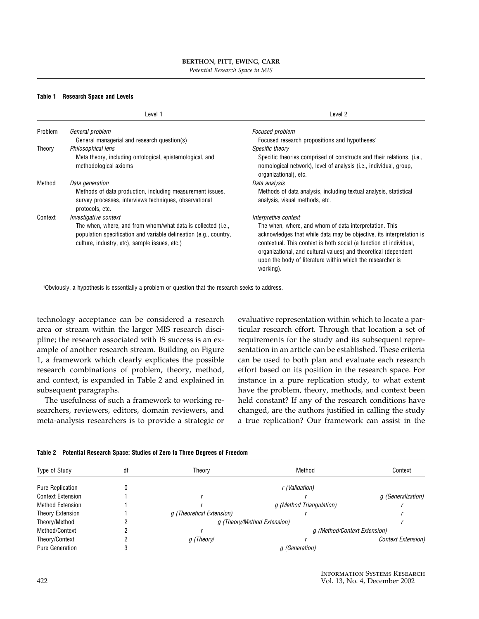#### **BERTHON, PITT, EWING, CARR**

*Potential Research Space in MIS*

#### **Table 1 Research Space and Levels**

|         | Level 1                                                                                                                                                                            | Level 2                                                                                                                                                                                                                                                                                                                                            |
|---------|------------------------------------------------------------------------------------------------------------------------------------------------------------------------------------|----------------------------------------------------------------------------------------------------------------------------------------------------------------------------------------------------------------------------------------------------------------------------------------------------------------------------------------------------|
| Problem | General problem                                                                                                                                                                    | Focused problem                                                                                                                                                                                                                                                                                                                                    |
|         | General managerial and research question(s)                                                                                                                                        | Focused research propositions and hypotheses <sup>1</sup>                                                                                                                                                                                                                                                                                          |
| Theory  | Philosophical lens                                                                                                                                                                 | Specific theory                                                                                                                                                                                                                                                                                                                                    |
|         | Meta theory, including ontological, epistemological, and<br>methodological axioms                                                                                                  | Specific theories comprised of constructs and their relations, (i.e.,<br>nomological network), level of analysis (i.e., individual, group,<br>organizational), etc.                                                                                                                                                                                |
| Method  | Data generation                                                                                                                                                                    | Data analysis                                                                                                                                                                                                                                                                                                                                      |
|         | Methods of data production, including measurement issues,<br>survey processes, interviews techniques, observational<br>protocols, etc.                                             | Methods of data analysis, including textual analysis, statistical<br>analysis, visual methods, etc.                                                                                                                                                                                                                                                |
| Context | Investigative context                                                                                                                                                              | Interpretive context                                                                                                                                                                                                                                                                                                                               |
|         | The when, where, and from whom/what data is collected (i.e.,<br>population specification and variable delineation (e.g., country,<br>culture, industry, etc), sample issues, etc.) | The when, where, and whom of data interpretation. This<br>acknowledges that while data may be objective, its interpretation is<br>contextual. This context is both social (a function of individual,<br>organizational, and cultural values) and theoretical (dependent<br>upon the body of literature within which the researcher is<br>working). |

1 Obviously, a hypothesis is essentially a problem or question that the research seeks to address.

technology acceptance can be considered a research area or stream within the larger MIS research discipline; the research associated with IS success is an example of another research stream. Building on Figure 1, a framework which clearly explicates the possible research combinations of problem, theory, method, and context, is expanded in Table 2 and explained in subsequent paragraphs.

The usefulness of such a framework to working researchers, reviewers, editors, domain reviewers, and meta-analysis researchers is to provide a strategic or evaluative representation within which to locate a particular research effort. Through that location a set of requirements for the study and its subsequent representation in an article can be established. These criteria can be used to both plan and evaluate each research effort based on its position in the research space. For instance in a pure replication study, to what extent have the problem, theory, methods, and context been held constant? If any of the research conditions have changed, are the authors justified in calling the study a true replication? Our framework can assist in the

| Type of Study            | df | Theorv                       | Method                          | Context            |
|--------------------------|----|------------------------------|---------------------------------|--------------------|
| <b>Pure Replication</b>  |    |                              | r (Validation)                  |                    |
| <b>Context Extension</b> |    |                              |                                 | g (Generalization) |
| <b>Method Extension</b>  |    |                              | <i>g</i> (Method Triangulation) |                    |
| <b>Theory Extension</b>  |    | q (Theoretical Extension)    |                                 |                    |
| Theory/Method            |    | g (Theory/Method Extension)  |                                 |                    |
| Method/Context           |    | g (Method/Context Extension) |                                 |                    |
| Theory/Context           |    | g (Theory/                   |                                 | Context Extension) |
| <b>Pure Generation</b>   |    | q (Generation)               |                                 |                    |
|                          |    |                              |                                 |                    |

**Table 2 Potential Research Space: Studies of Zero to Three Degrees of Freedom**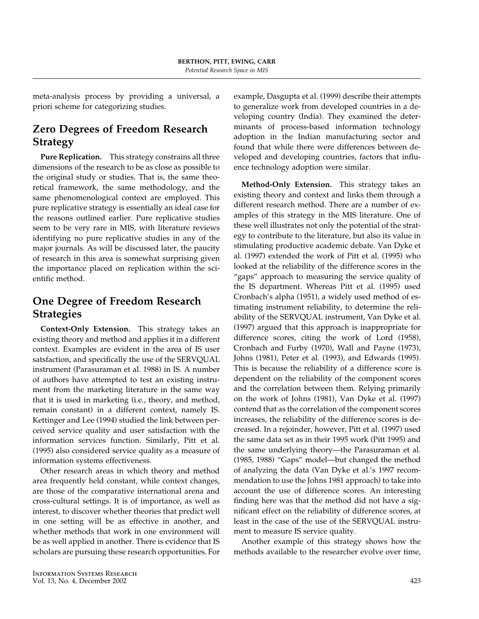meta-analysis process by providing a universal, a priori scheme for categorizing studies.

# **Zero Degrees of Freedom Research Strategy**

**Pure Replication.** This strategy constrains all three dimensions of the research to be as close as possible to the original study or studies. That is, the same theoretical framework, the same methodology, and the same phenomenological context are employed. This pure replicative strategy is essentially an ideal case for the reasons outlined earlier. Pure replicative studies seem to be very rare in MIS, with literature reviews identifying no pure replicative studies in any of the major journals. As will be discussed later, the paucity of research in this area is somewhat surprising given the importance placed on replication within the scientific method.

## **One Degree of Freedom Research Strategies**

**Context-Only Extension.** This strategy takes an existing theory and method and applies it in a different context. Examples are evident in the area of IS user satsfaction, and specifically the use of the SERVQUAL instrument (Parasuraman et al. 1988) in IS. A number of authors have attempted to test an existing instrument from the marketing literature in the same way that it is used in marketing (i.e., theory, and method, remain constant) in a different context, namely IS. Kettinger and Lee (1994) studied the link between perceived service quality and user satisfaction with the information services function. Similarly, Pitt et al. (1995) also considered service quality as a measure of information systems effectiveness.

Other research areas in which theory and method area frequently held constant, while context changes, are those of the comparative international arena and cross-cultural settings. It is of importance, as well as interest, to discover whether theories that predict well in one setting will be as effective in another, and whether methods that work in one environment will be as well applied in another. There is evidence that IS scholars are pursuing these research opportunities. For example, Dasgupta et al. (1999) describe their attempts to generalize work from developed countries in a developing country (India). They examined the determinants of process-based information technology adoption in the Indian manufacturing sector and found that while there were differences between developed and developing countries, factors that influence technology adoption were similar.

**Method-Only Extension.** This strategy takes an existing theory and context and links them through a different research method. There are a number of examples of this strategy in the MIS literature. One of these well illustrates not only the potential of the strategy to contribute to the literature, but also its value in stimulating productive academic debate. Van Dyke et al. (1997) extended the work of Pitt et al. (1995) who looked at the reliability of the difference scores in the "gaps" approach to measuring the service quality of the IS department. Whereas Pitt et al. (1995) used Cronbach's alpha (1951), a widely used method of estimating instrument reliability, to determine the reliability of the SERVQUAL instrument, Van Dyke et al. (1997) argued that this approach is inappropriate for difference scores, citing the work of Lord (1958), Cronbach and Furby (1970), Wall and Payne (1973), Johns (1981), Peter et al. (1993), and Edwards (1995). This is because the reliability of a difference score is dependent on the reliability of the component scores and the correlation between them. Relying primarily on the work of Johns (1981), Van Dyke et al. (1997) contend that as the correlation of the component scores increases, the reliability of the difference scores is decreased. In a rejoinder, however, Pitt et al. (1997) used the same data set as in their 1995 work (Pitt 1995) and the same underlying theory—the Parasuraman et al. (1985, 1988) "Gaps" model—but changed the method of analyzing the data (Van Dyke et al.'s 1997 recommendation to use the Johns 1981 approach) to take into account the use of difference scores. An interesting finding here was that the method did not have a significant effect on the reliability of difference scores, at least in the case of the use of the SERVQUAL instrument to measure IS service quality.

Another example of this strategy shows how the methods available to the researcher evolve over time,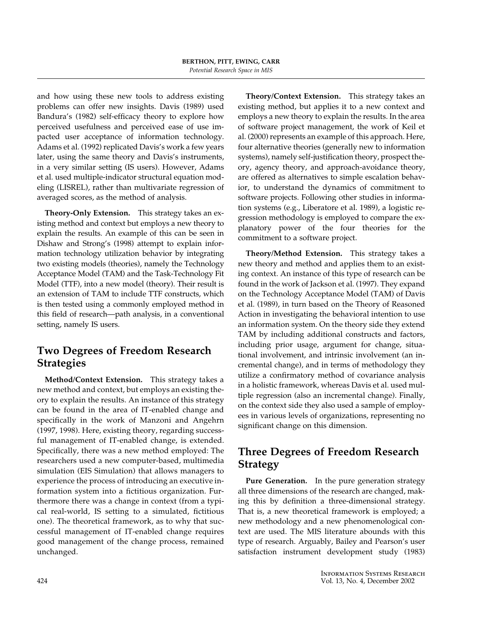and how using these new tools to address existing problems can offer new insights. Davis (1989) used Bandura's (1982) self-efficacy theory to explore how perceived usefulness and perceived ease of use impacted user acceptance of information technology. Adams et al. (1992) replicated Davis's work a few years later, using the same theory and Davis's instruments, in a very similar setting (IS users). However, Adams et al. used multiple-indicator structural equation modeling (LISREL), rather than multivariate regression of averaged scores, as the method of analysis.

**Theory-Only Extension.** This strategy takes an existing method and context but employs a new theory to explain the results. An example of this can be seen in Dishaw and Strong's (1998) attempt to explain information technology utilization behavior by integrating two existing models (theories), namely the Technology Acceptance Model (TAM) and the Task-Technology Fit Model (TTF), into a new model (theory). Their result is an extension of TAM to include TTF constructs, which is then tested using a commonly employed method in this field of research—path analysis, in a conventional setting, namely IS users.

# **Two Degrees of Freedom Research Strategies**

**Method/Context Extension.** This strategy takes a new method and context, but employs an existing theory to explain the results. An instance of this strategy can be found in the area of IT-enabled change and specifically in the work of Manzoni and Angehrn (1997, 1998). Here, existing theory, regarding successful management of IT-enabled change, is extended. Specifically, there was a new method employed: The researchers used a new computer-based, multimedia simulation (EIS Simulation) that allows managers to experience the process of introducing an executive information system into a fictitious organization. Furthermore there was a change in context (from a typical real-world, IS setting to a simulated, fictitious one). The theoretical framework, as to why that successful management of IT-enabled change requires good management of the change process, remained unchanged.

**Theory/Context Extension.** This strategy takes an existing method, but applies it to a new context and employs a new theory to explain the results. In the area of software project management, the work of Keil et al. (2000) represents an example of this approach. Here, four alternative theories (generally new to information systems), namely self-justification theory, prospect theory, agency theory, and approach-avoidance theory, are offered as alternatives to simple escalation behavior, to understand the dynamics of commitment to software projects. Following other studies in information systems (e.g., Liberatore et al. 1989), a logistic regression methodology is employed to compare the explanatory power of the four theories for the commitment to a software project.

**Theory/Method Extension.** This strategy takes a new theory and method and applies them to an existing context. An instance of this type of research can be found in the work of Jackson et al. (1997). They expand on the Technology Acceptance Model (TAM) of Davis et al. (1989), in turn based on the Theory of Reasoned Action in investigating the behavioral intention to use an information system. On the theory side they extend TAM by including additional constructs and factors, including prior usage, argument for change, situational involvement, and intrinsic involvement (an incremental change), and in terms of methodology they utilize a confirmatory method of covariance analysis in a holistic framework, whereas Davis et al. used multiple regression (also an incremental change). Finally, on the context side they also used a sample of employees in various levels of organizations, representing no significant change on this dimension.

# **Three Degrees of Freedom Research Strategy**

Pure Generation. In the pure generation strategy all three dimensions of the research are changed, making this by definition a three-dimensional strategy. That is, a new theoretical framework is employed; a new methodology and a new phenomenological context are used. The MIS literature abounds with this type of research. Arguably, Bailey and Pearson's user satisfaction instrument development study (1983)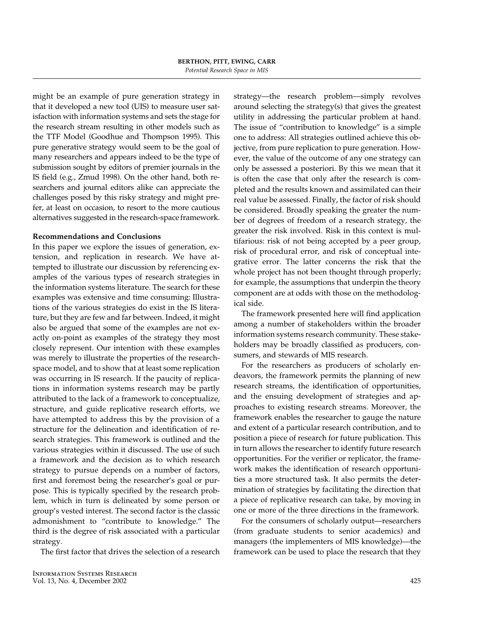might be an example of pure generation strategy in that it developed a new tool (UIS) to measure user satisfaction with information systems and sets the stage for the research stream resulting in other models such as the TTF Model (Goodhue and Thompson 1995). This pure generative strategy would seem to be the goal of many researchers and appears indeed to be the type of submission sought by editors of premier journals in the IS field (e.g., Zmud 1998). On the other hand, both researchers and journal editors alike can appreciate the challenges posed by this risky strategy and might prefer, at least on occasion, to resort to the more cautious alternatives suggested in the research-space framework.

### **Recommendations and Conclusions**

In this paper we explore the issues of generation, extension, and replication in research. We have attempted to illustrate our discussion by referencing examples of the various types of research strategies in the information systems literature. The search for these examples was extensive and time consuming: Illustrations of the various strategies do exist in the IS literature, but they are few and far between. Indeed, it might also be argued that some of the examples are not exactly on-point as examples of the strategy they most closely represent. Our intention with these examples was merely to illustrate the properties of the researchspace model, and to show that at least some replication was occurring in IS research. If the paucity of replications in information systems research may be partly attributed to the lack of a framework to conceptualize, structure, and guide replicative research efforts, we have attempted to address this by the provision of a structure for the delineation and identification of research strategies. This framework is outlined and the various strategies within it discussed. The use of such a framework and the decision as to which research strategy to pursue depends on a number of factors, first and foremost being the researcher's goal or purpose. This is typically specified by the research problem, which in turn is delineated by some person or group's vested interest. The second factor is the classic admonishment to "contribute to knowledge." The third is the degree of risk associated with a particular strategy.

The first factor that drives the selection of a research

strategy—the research problem—simply revolves around selecting the strategy(s) that gives the greatest utility in addressing the particular problem at hand. The issue of "contribution to knowledge" is a simple one to address: All strategies outlined achieve this objective, from pure replication to pure generation. However, the value of the outcome of any one strategy can only be assessed a posteriori. By this we mean that it is often the case that only after the research is completed and the results known and assimilated can their real value be assessed. Finally, the factor of risk should be considered. Broadly speaking the greater the number of degrees of freedom of a research strategy, the greater the risk involved. Risk in this context is multifarious: risk of not being accepted by a peer group, risk of procedural error, and risk of conceptual integrative error. The latter concerns the risk that the whole project has not been thought through properly; for example, the assumptions that underpin the theory component are at odds with those on the methodological side.

The framework presented here will find application among a number of stakeholders within the broader information systems research community. These stakeholders may be broadly classified as producers, consumers, and stewards of MIS research.

For the researchers as producers of scholarly endeavors, the framework permits the planning of new research streams, the identification of opportunities, and the ensuing development of strategies and approaches to existing research streams. Moreover, the framework enables the researcher to gauge the nature and extent of a particular research contribution, and to position a piece of research for future publication. This in turn allows the researcher to identify future research opportunities. For the verifier or replicator, the framework makes the identification of research opportunities a more structured task. It also permits the determination of strategies by facilitating the direction that a piece of replicative research can take, by moving in one or more of the three directions in the framework.

For the consumers of scholarly output—researchers (from graduate students to senior academics) and managers (the implementers of MIS knowledge)—the framework can be used to place the research that they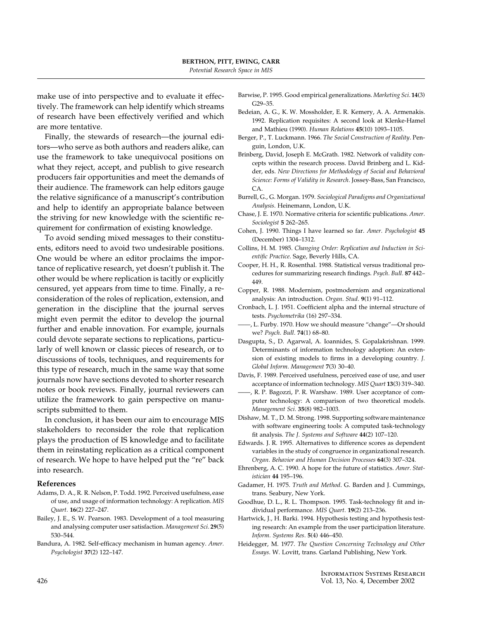make use of into perspective and to evaluate it effectively. The framework can help identify which streams of research have been effectively verified and which are more tentative.

Finally, the stewards of research—the journal editors—who serve as both authors and readers alike, can use the framework to take unequivocal positions on what they reject, accept, and publish to give research producers fair opportunities and meet the demands of their audience. The framework can help editors gauge the relative significance of a manuscript's contribution and help to identify an appropriate balance between the striving for new knowledge with the scientific requirement for confirmation of existing knowledge.

To avoid sending mixed messages to their constituents, editors need to avoid two undesirable positions. One would be where an editor proclaims the importance of replicative research, yet doesn't publish it. The other would be where replication is tacitly or explicitly censured, yet appears from time to time. Finally, a reconsideration of the roles of replication, extension, and generation in the discipline that the journal serves might even permit the editor to develop the journal further and enable innovation. For example, journals could devote separate sections to replications, particularly of well known or classic pieces of research, or to discussions of tools, techniques, and requirements for this type of research, much in the same way that some journals now have sections devoted to shorter research notes or book reviews. Finally, journal reviewers can utilize the framework to gain perspective on manuscripts submitted to them.

In conclusion, it has been our aim to encourage MIS stakeholders to reconsider the role that replication plays the production of IS knowledge and to facilitate them in reinstating replication as a critical component of research. We hope to have helped put the "re" back into research.

### **References**

- Adams, D. A., R. R. Nelson, P. Todd. 1992. Perceived usefulness, ease of use, and usage of information technology: A replication. *MIS Quart.* **16**(2) 227–247.
- Bailey, J. E., S. W. Pearson. 1983. Development of a tool measuring and analysing computer user satisfaction. *Management Sci.* **29**(5) 530–544.
- Bandura, A. 1982. Self-efficacy mechanism in human agency. *Amer. Psychologist* **37**(2) 122–147.

Barwise, P. 1995. Good empirical generalizations. *Marketing Sci.* **14**(3) G29–35.

- Bedeian, A. G., K. W. Mossholder, E. R. Kemery, A. A. Armenakis. 1992. Replication requisites: A second look at Klenke-Hamel and Mathieu (1990). *Human Relations* **45**(10) 1093–1105.
- Berger, P., T. Luckmann. 1966. *The Social Construction of Reality*. Penguin, London, U.K.
- Brinberg, David, Joseph E. McGrath. 1982. Network of validity concepts within the research process. David Brinberg and L. Kidder, eds. *New Directions for Methodology of Social and Behavioral Science: Forms of Validity in Research.* Jossey-Bass, San Francisco,  $CA$
- Burrell, G., G. Morgan. 1979. *Sociological Paradigms and Organizational Analysis*. Heinemann, London, U.K.
- Chase, J. E. 1970. Normative criteria for scientific publications. *Amer. Sociologist* **5** 262–265.
- Cohen, J. 1990. Things I have learned so far. *Amer. Psychologist* **45** (December) 1304–1312.
- Collins, H. M. 1985. *Changing Order: Replication and Induction in Scientific Practice*. Sage, Beverly Hills, CA.
- Cooper, H. H., R. Rosenthal. 1988. Statistical versus traditional procedures for summarizing research findings. *Psych. Bull.* **87** 442– 449.
- Copper, R. 1988. Modernism, postmodernism and organizational analysis: An introduction. *Organ. Stud.* **9**(1) 91–112.
- Cronbach, L. J. 1951. Coefficient alpha and the internal structure of tests. *Psychometrika* (16) 297–334.
- ——, L. Furby. 1970. How we should measure "change"—Or should we? *Psych. Bull.* **74**(1) 68–80.
- Dasgupta, S., D. Agarwal, A. Ioannides, S. Gopalakrishnan. 1999. Determinants of information technology adoption: An extension of existing models to firms in a developing country. *J. Global Inform. Management* **7**(3) 30–40.
- Davis, F. 1989. Perceived usefulness, perceived ease of use, and user acceptance of information technology. *MIS Quart* **13**(3) 319–340.
- ——, R. P. Bagozzi, P. R. Warshaw. 1989. User acceptance of computer technology: A comparison of two theoretical models. *Management Sci.* **35**(8) 982–1003.
- Dishaw, M. T., D. M. Strong. 1998. Supporting software maintenance with software engineering tools: A computed task-technology fit analysis. The J. Systems and Software 44(2) 107-120.
- Edwards. J. R. 1995. Alternatives to difference scores as dependent variables in the study of congruence in organizational research. *Organ. Behavior and Human Decision Processes* **64**(3) 307–324.
- Ehrenberg, A. C. 1990. A hope for the future of statistics. *Amer. Statistician* **44** 195–196.
- Gadamer, H. 1975. *Truth and Method*. G. Barden and J. Cummings, trans. Seabury, New York.
- Goodhue, D. L., R. L. Thompson. 1995. Task-technology fit and individual performance. *MIS Quart.* **19**(2) 213–236.
- Hartwick, J., H. Barki. 1994. Hypothesis testing and hypothesis testing research: An example from the user participation literature. *Inform. Systems Res.* **5**(4) 446–450.
- Heidegger, M. 1977. *The Question Concerning Technology and Other Essays*. W. Lovitt, trans. Garland Publishing, New York.